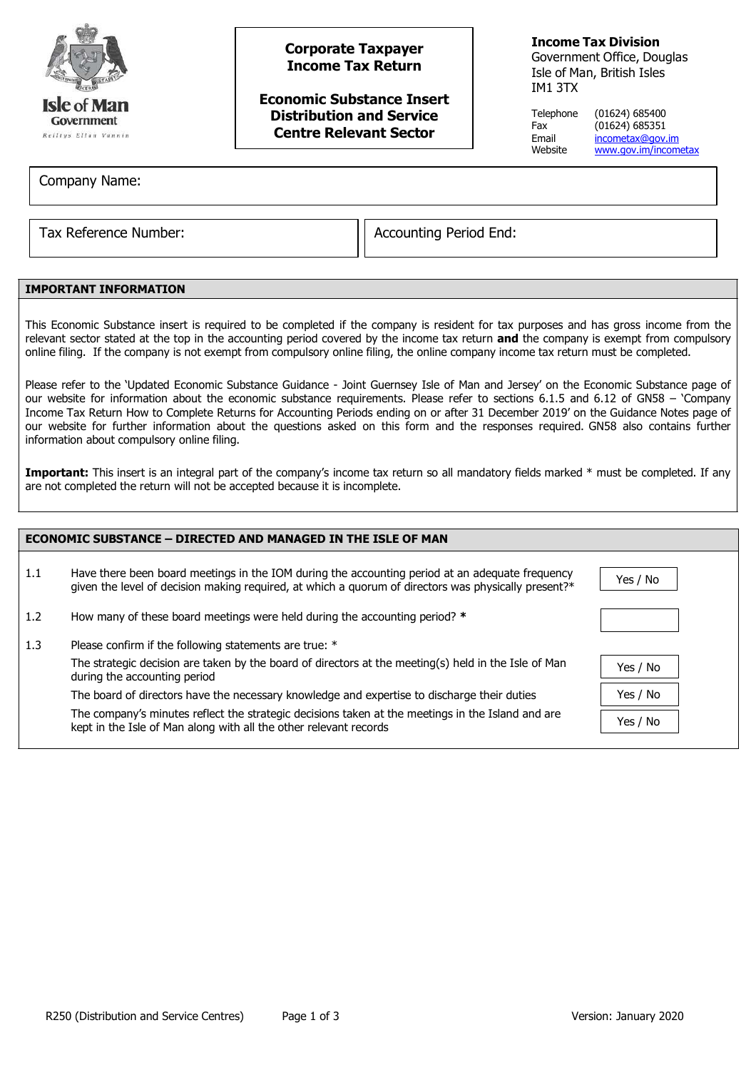

# **Corporate Taxpayer Income Tax Return**

**Economic Substance Insert Distribution and Service Centre Relevant Sector**

## **Income Tax Division**

Government Office, Douglas Isle of Man, British Isles IM1 3TX

Telephone (01624) 685400 Fax (01624) 685351<br>Email incometax@gov. Email <u>[incometax@gov.im](mailto:incometax@gov.im)</u><br>Website www.gov.im/incom [www.gov.im/incometax](http://www.gov.im/incometax)

Company Name:

Tax Reference Number:  $\vert$  Accounting Period End:

### **IMPORTANT INFORMATION**

This Economic Substance insert is required to be completed if the company is resident for tax purposes and has gross income from the relevant sector stated at the top in the accounting period covered by the income tax return **and** the company is exempt from compulsory online filing. If the company is not exempt from compulsory online filing, the online company income tax return must be completed.

Please refer to the 'Updated Economic Substance Guidance - Joint Guernsey Isle of Man and Jersey' on the Economic Substance page of our website for information about the economic substance requirements. Please refer to sections 6.1.5 and 6.12 of GN58 – 'Company Income Tax Return How to Complete Returns for Accounting Periods ending on or after 31 December 2019' on the Guidance Notes page of our website for further information about the questions asked on this form and the responses required. GN58 also contains further information about compulsory online filing.

Important: This insert is an integral part of the company's income tax return so all mandatory fields marked \* must be completed. If any are not completed the return will not be accepted because it is incomplete.

| <b>ECONOMIC SUBSTANCE - DIRECTED AND MANAGED IN THE ISLE OF MAN</b> |                                                                                                                                                                                                         |          |  |
|---------------------------------------------------------------------|---------------------------------------------------------------------------------------------------------------------------------------------------------------------------------------------------------|----------|--|
| 1.1                                                                 | Have there been board meetings in the IOM during the accounting period at an adequate frequency<br>given the level of decision making required, at which a quorum of directors was physically present?* | Yes / No |  |
| 1.2                                                                 | How many of these board meetings were held during the accounting period? *                                                                                                                              |          |  |
| 1.3                                                                 | Please confirm if the following statements are true: *                                                                                                                                                  |          |  |
|                                                                     | The strategic decision are taken by the board of directors at the meeting(s) held in the Isle of Man<br>during the accounting period                                                                    | Yes / No |  |
|                                                                     | The board of directors have the necessary knowledge and expertise to discharge their duties                                                                                                             | Yes / No |  |
|                                                                     | The company's minutes reflect the strategic decisions taken at the meetings in the Island and are<br>kept in the Isle of Man along with all the other relevant records                                  | Yes / No |  |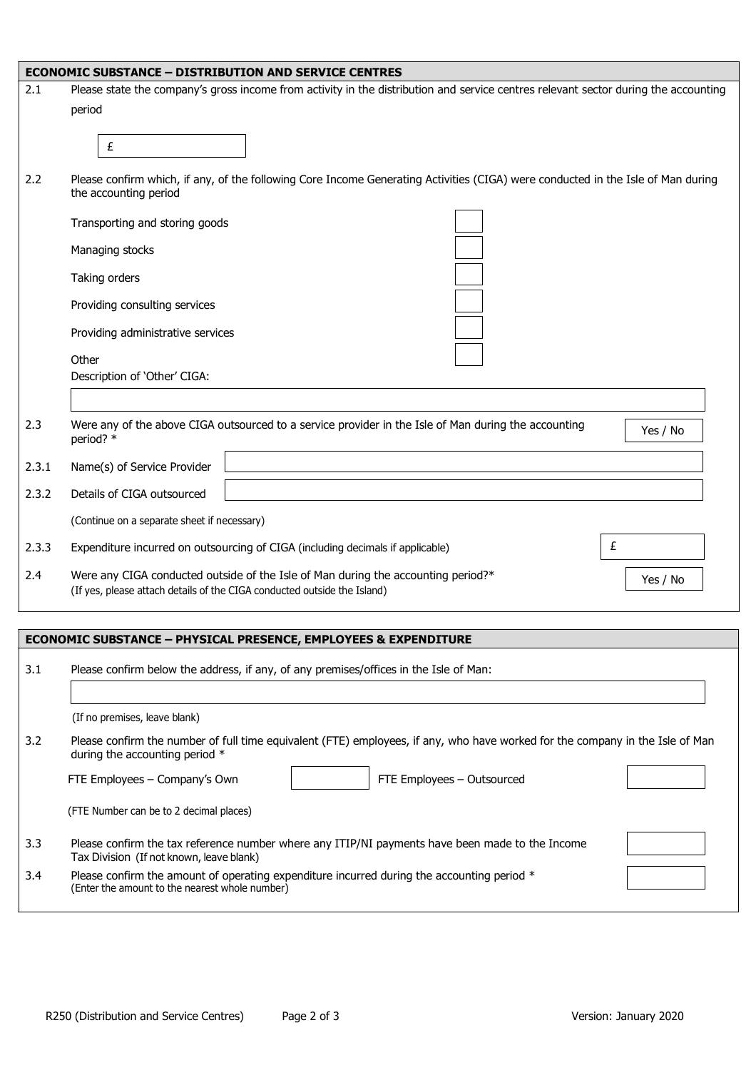|       | <b>ECONOMIC SUBSTANCE - DISTRIBUTION AND SERVICE CENTRES</b>                                                                                                              |  |  |
|-------|---------------------------------------------------------------------------------------------------------------------------------------------------------------------------|--|--|
| 2.1   | Please state the company's gross income from activity in the distribution and service centres relevant sector during the accounting                                       |  |  |
|       | period                                                                                                                                                                    |  |  |
|       | £                                                                                                                                                                         |  |  |
| 2.2   | Please confirm which, if any, of the following Core Income Generating Activities (CIGA) were conducted in the Isle of Man during<br>the accounting period                 |  |  |
|       | Transporting and storing goods                                                                                                                                            |  |  |
|       | Managing stocks                                                                                                                                                           |  |  |
|       | Taking orders                                                                                                                                                             |  |  |
|       | Providing consulting services                                                                                                                                             |  |  |
|       | Providing administrative services                                                                                                                                         |  |  |
|       | Other<br>Description of 'Other' CIGA:                                                                                                                                     |  |  |
|       |                                                                                                                                                                           |  |  |
| 2.3   | Were any of the above CIGA outsourced to a service provider in the Isle of Man during the accounting<br>Yes / No<br>period? *                                             |  |  |
| 2.3.1 | Name(s) of Service Provider                                                                                                                                               |  |  |
| 2.3.2 | Details of CIGA outsourced                                                                                                                                                |  |  |
|       | (Continue on a separate sheet if necessary)                                                                                                                               |  |  |
| 2.3.3 | £<br>Expenditure incurred on outsourcing of CIGA (including decimals if applicable)                                                                                       |  |  |
| 2.4   | Were any CIGA conducted outside of the Isle of Man during the accounting period?*<br>Yes / No<br>(If yes, please attach details of the CIGA conducted outside the Island) |  |  |
|       |                                                                                                                                                                           |  |  |
|       | <b>ECONOMIC SUBSTANCE - PHYSICAL PRESENCE, EMPLOYEES &amp; EXPENDITURE</b>                                                                                                |  |  |
| 3.1   | Please confirm below the address, if any, of any premises/offices in the Isle of Man:                                                                                     |  |  |
|       | (If no premises, leave blank)                                                                                                                                             |  |  |
| 3.2   | Please confirm the number of full time equivalent (FTE) employees, if any, who have worked for the company in the Isle of Man<br>during the accounting period *           |  |  |
|       | FTE Employees - Company's Own<br>FTE Employees - Outsourced                                                                                                               |  |  |
|       | (FTE Number can be to 2 decimal places)                                                                                                                                   |  |  |
| 3.3   | Please confirm the tax reference number where any ITIP/NI payments have been made to the Income<br>Tax Division (If not known, leave blank)                               |  |  |
| 3.4   | Please confirm the amount of operating expenditure incurred during the accounting period *<br>(Enter the amount to the nearest whole number)                              |  |  |